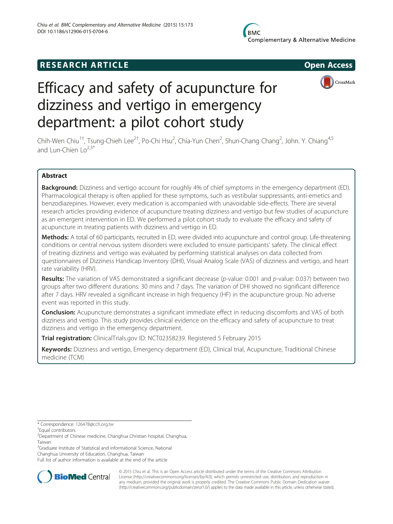# **RESEARCH ARTICLE Example 2014 12:30 The SEAR CHA RTICLE**



# Efficacy and safety of acupuncture for dizziness and vertigo in emergency department: a pilot cohort study

Chih-Wen Chiu<sup>1†</sup>, Tsung-Chieh Lee<sup>2†</sup>, Po-Chi Hsu<sup>2</sup>, Chia-Yun Chen<sup>2</sup>, Shun-Chang Chang<sup>2</sup>, John. Y. Chiang<sup>4,5</sup> and Lun-Chien  $\log^{2,3*}$ 

### Abstract

Background: Dizziness and vertigo account for roughly 4% of chief symptoms in the emergency department (ED). Pharmacological therapy is often applied for these symptoms, such as vestibular suppressants, anti-emetics and benzodiazepines. However, every medication is accompanied with unavoidable side-effects. There are several research articles providing evidence of acupuncture treating dizziness and vertigo but few studies of acupuncture as an emergent intervention in ED. We performed a pilot cohort study to evaluate the efficacy and safety of acupuncture in treating patients with dizziness and vertigo in ED.

Methods: A total of 60 participants, recruited in ED, were divided into acupuncture and control group. Life-threatening conditions or central nervous system disorders were excluded to ensure participants' safety. The clinical effect of treating dizziness and vertigo was evaluated by performing statistical analyses on data collected from questionnaires of Dizziness Handicap Inventory (DHI), Visual Analog Scale (VAS) of dizziness and vertigo, and heart rate variability (HRV).

Results: The variation of VAS demonstrated a significant decrease (p-value: 0.001 and p-value: 0.037) between two groups after two different durations: 30 mins and 7 days. The variation of DHI showed no significant difference after 7 days. HRV revealed a significant increase in high frequency (HF) in the acupuncture group. No adverse event was reported in this study.

**Conclusion:** Acupuncture demonstrates a significant immediate effect in reducing discomforts and VAS of both dizziness and vertigo. This study provides clinical evidence on the efficacy and safety of acupuncture to treat dizziness and vertigo in the emergency department.

Trial registration: ClinicalTrials.gov ID: [NCT02358239](https://www.clinicaltrials.gov/ct2/show/NCT02358239?term=NCT02358239&rank=1). Registered 5 February 2015

Keywords: Dizziness and vertigo, Emergency department (ED), Clinical trial, Acupuncture, Traditional Chinese medicine (TCM)

\* Correspondence: [126478@cch.org.tw](mailto:126478@cch.org.tw) †

Equal contributors

2 Department of Chinese medicine, Changhua Christian hospital, Changhua, Taiwan

<sup>3</sup>Graduate Institute of Statistical and informational Science, National

Changhua University of Education, Changhua, Taiwan

Full list of author information is available at the end of the article



© 2015 Chiu et al. This is an Open Access article distributed under the terms of the Creative Commons Attribution License (<http://creativecommons.org/licenses/by/4.0>), which permits unrestricted use, distribution, and reproduction in any medium, provided the original work is properly credited. The Creative Commons Public Domain Dedication waiver [\(http://creativecommons.org/publicdomain/zero/1.0/](http://creativecommons.org/publicdomain/zero/1.0/)) applies to the data made available in this article, unless otherwise stated.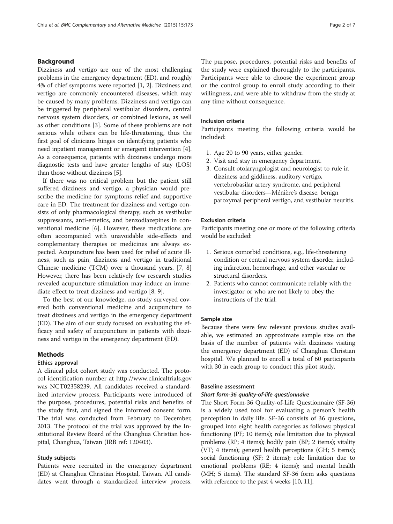#### Background

Dizziness and vertigo are one of the most challenging problems in the emergency department (ED), and roughly 4% of chief symptoms were reported [[1, 2\]](#page-6-0). Dizziness and vertigo are commonly encountered diseases, which may be caused by many problems. Dizziness and vertigo can be triggered by peripheral vestibular disorders, central nervous system disorders, or combined lesions, as well as other conditions [\[3](#page-6-0)]. Some of these problems are not serious while others can be life-threatening, thus the first goal of clinicians hinges on identifying patients who need inpatient management or emergent intervention [[4](#page-6-0)]. As a consequence, patients with dizziness undergo more diagnostic tests and have greater lengths of stay (LOS) than those without dizziness [[5\]](#page-6-0).

If there was no critical problem but the patient still suffered dizziness and vertigo, a physician would prescribe the medicine for symptoms relief and supportive care in ED. The treatment for dizziness and vertigo consists of only pharmacological therapy, such as vestibular suppressants, anti-emetics, and benzodiazepines in conventional medicine [[6\]](#page-6-0). However, these medications are often accompanied with unavoidable side-effects and complementary therapies or medicines are always expected. Acupuncture has been used for relief of acute illness, such as pain, dizziness and vertigo in traditional Chinese medicine (TCM) over a thousand years. [\[7, 8](#page-6-0)] However, there has been relatively few research studies revealed acupuncture stimulation may induce an immediate effect to treat dizziness and vertigo [\[8, 9\]](#page-6-0).

To the best of our knowledge, no study surveyed covered both conventional medicine and acupuncture to treat dizziness and vertigo in the emergency department (ED). The aim of our study focused on evaluating the efficacy and safety of acupuncture in patients with dizziness and vertigo in the emergency department (ED).

#### Methods

#### Ethics approval

A clinical pilot cohort study was conducted. The protocol identification number at [http://www.clinicaltrials.gov](http://www.clinicaltrials.gov/) was [NCT02358239](http://www.clinicaltrials.gov/NCT02358239). All candidates received a standardized interview process. Participants were introduced of the purpose, procedures, potential risks and benefits of the study first, and signed the informed consent form. The trial was conducted from February to December, 2013. The protocol of the trial was approved by the Institutional Review Board of the Changhua Christian hospital, Changhua, Taiwan (IRB ref: 120403).

#### Study subjects

Patients were recruited in the emergency department (ED) at Changhua Christian Hospital, Taiwan. All candidates went through a standardized interview process. The purpose, procedures, potential risks and benefits of the study were explained thoroughly to the participants. Participants were able to choose the experiment group or the control group to enroll study according to their willingness, and were able to withdraw from the study at any time without consequence.

#### Inclusion criteria

Participants meeting the following criteria would be included:

- 1. Age 20 to 90 years, either gender.
- 2. Visit and stay in emergency department.
- 3. Consult otolaryngologist and neurologist to rule in dizziness and giddiness, auditory vertigo, vertebrobasilar artery syndrome, and peripheral vestibular disorders—Ménière's disease, benign paroxymal peripheral vertigo, and vestibular neuritis.

#### Exclusion criteria

Participants meeting one or more of the following criteria would be excluded:

- 1. Serious comorbid conditions, e.g., life-threatening condition or central nervous system disorder, including infarction, hemorrhage, and other vascular or structural disorders.
- 2. Patients who cannot communicate reliably with the investigator or who are not likely to obey the instructions of the trial.

#### Sample size

Because there were few relevant previous studies available, we estimated an approximate sample size on the basis of the number of patients with dizziness visiting the emergency department (ED) of Changhua Christian hospital. We planned to enroll a total of 60 participants with 30 in each group to conduct this pilot study.

#### Baseline assessment

#### Short form-36 quality-of-life questionnaire

The Short Form-36 Quality-of-Life Questionnaire (SF-36) is a widely used tool for evaluating a person's health perception in daily life. SF-36 consists of 36 questions, grouped into eight health categories as follows: physical functioning (PF; 10 items); role limitation due to physical problems (RP; 4 items); bodily pain (BP; 2 items); vitality (VT; 4 items); general health perceptions (GH; 5 items); social functioning (SF; 2 items); role limitation due to emotional problems (RE; 4 items); and mental health (MH; 5 items). The standard SF-36 form asks questions with reference to the past 4 weeks [\[10, 11](#page-6-0)].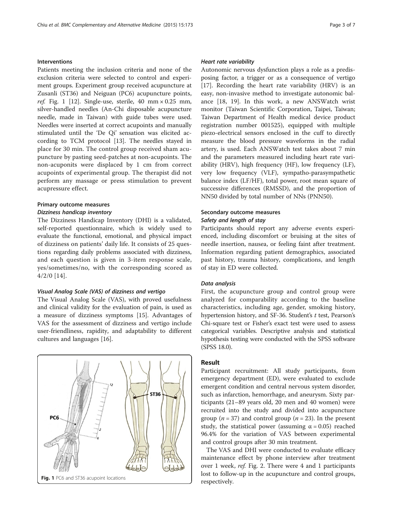#### Interventions

Patients meeting the inclusion criteria and none of the exclusion criteria were selected to control and experiment groups. Experiment group received acupuncture at Zusanli (ST36) and Neiguan (PC6) acupuncture points, ref. Fig. 1 [\[12](#page-6-0)]. Single-use, sterile, 40 mm  $\times$  0.25 mm, silver-handled needles (An-Chi disposable acupuncture needle, made in Taiwan) with guide tubes were used. Needles were inserted at correct acupoints and manually stimulated until the 'De Qi' sensation was elicited according to TCM protocol [[13\]](#page-6-0). The needles stayed in place for 30 min. The control group received sham acupuncture by pasting seed-patches at non-acupoints. The non-acuponits were displaced by 1 cm from correct acupoints of experimental group. The therapist did not perform any massage or press stimulation to prevent acupressure effect.

#### Primary outcome measures

#### Dizziness handicap inventory

The Dizziness Handicap Inventory (DHI) is a validated, self-reported questionnaire, which is widely used to evaluate the functional, emotional, and physical impact of dizziness on patients' daily life. It consists of 25 questions regarding daily problems associated with dizziness, and each question is given in 3-item response scale, yes/sometimes/no, with the corresponding scored as 4/2/0 [[14\]](#page-6-0).

#### Visual Analog Scale (VAS) of dizziness and vertigo

The Visual Analog Scale (VAS), with proved usefulness and clinical validity for the evaluation of pain, is used as a measure of dizziness symptoms [\[15](#page-6-0)]. Advantages of VAS for the assessment of dizziness and vertigo include user-friendliness, rapidity, and adaptability to different cultures and languages [\[16\]](#page-6-0).



#### Heart rate variability

Autonomic nervous dysfunction plays a role as a predisposing factor, a trigger or as a consequence of vertigo [[17\]](#page-6-0). Recording the heart rate variability (HRV) is an easy, non-invasive method to investigate autonomic balance [\[18, 19\]](#page-6-0). In this work, a new ANSWatch wrist monitor (Taiwan Scientific Corporation, Taipei, Taiwan; Taiwan Department of Health medical device product registration number 001525), equipped with multiple piezo-electrical sensors enclosed in the cuff to directly measure the blood pressure waveforms in the radial artery, is used. Each ANSWatch test takes about 7 min and the parameters measured including heart rate variability (HRV), high frequency (HF), low frequency (LF), very low frequency (VLF), sympatho-parasympathetic balance index (LF/HF), total power, root mean square of successive differences (RMSSD), and the proportion of NN50 divided by total number of NNs (PNN50).

## Secondary outcome measures

#### Safety and length of stay

Participants should report any adverse events experienced, including discomfort or bruising at the sites of needle insertion, nausea, or feeling faint after treatment. Information regarding patient demographics, associated past history, trauma history, complications, and length of stay in ED were collected.

#### Data analysis

First, the acupuncture group and control group were analyzed for comparability according to the baseline characteristics, including age, gender, smoking history, hypertension history, and SF-36. Student's  $t$  test, Pearson's Chi-square test or Fisher's exact test were used to assess categorical variables. Descriptive analysis and statistical hypothesis testing were conducted with the SPSS software (SPSS 18.0).

#### Result

Participant recruitment: All study participants, from emergency department (ED), were evaluated to exclude emergent condition and central nervous system disorder, such as infarction, hemorrhage, and aneurysm. Sixty participants (21–89 years old, 20 men and 40 women) were recruited into the study and divided into acupuncture group ( $n = 37$ ) and control group ( $n = 23$ ). In the present study, the statistical power (assuming  $\alpha = 0.05$ ) reached 96.4% for the variation of VAS between experimental and control groups after 30 min treatment.

The VAS and DHI were conducted to evaluate efficacy maintenance effect by phone interview after treatment over 1 week, ref. Fig. [2](#page-3-0). There were 4 and 1 participants lost to follow-up in the acupuncture and control groups,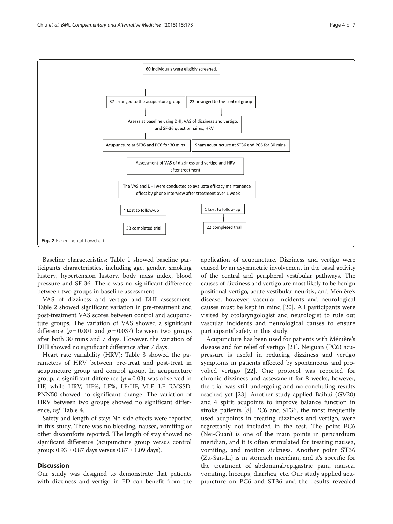<span id="page-3-0"></span>

Baseline characteristics: Table [1](#page-4-0) showed baseline participants characteristics, including age, gender, smoking history, hypertension history, body mass index, blood pressure and SF-36. There was no significant difference between two groups in baseline assessment.

VAS of dizziness and vertigo and DHI assessment: Table [2](#page-4-0) showed significant variation in pre-treatment and post-treatment VAS scores between control and acupuncture groups. The variation of VAS showed a significant difference ( $p = 0.001$  and  $p = 0.037$ ) between two groups after both 30 mins and 7 days. However, the variation of DHI showed no significant difference after 7 days.

Heart rate variability (HRV): Table [3](#page-5-0) showed the parameters of HRV between pre-treat and post-treat in acupuncture group and control group. In acupuncture group, a significant difference  $(p = 0.03)$  was observed in HF, while HRV, HF%, LF%, LF/HF, VLF, LF RMSSD, PNN50 showed no significant change. The variation of HRV between two groups showed no significant difference, ref. Table [4.](#page-5-0)

Safety and length of stay: No side effects were reported in this study. There was no bleeding, nausea, vomiting or other discomforts reported. The length of stay showed no significant difference (acupuncture group versus control group:  $0.93 \pm 0.87$  days versus  $0.87 \pm 1.09$  days).

#### **Discussion**

Our study was designed to demonstrate that patients with dizziness and vertigo in ED can benefit from the

application of acupuncture. Dizziness and vertigo were caused by an asymmetric involvement in the basal activity of the central and peripheral vestibular pathways. The causes of dizziness and vertigo are most likely to be benign positional vertigo, acute vestibular neuritis, and Ménière's disease; however, vascular incidents and neurological causes must be kept in mind [\[20](#page-6-0)]. All participants were visited by otolaryngologist and neurologist to rule out vascular incidents and neurological causes to ensure participants' safety in this study.

Acupuncture has been used for patients with Ménière's disease and for relief of vertigo [[21](#page-6-0)]. Neiguan (PC6) acupressure is useful in reducing dizziness and vertigo symptoms in patients affected by spontaneous and provoked vertigo [\[22](#page-6-0)]. One protocol was reported for chronic dizziness and assessment for 8 weeks, however, the trial was still undergoing and no concluding results reached yet [\[23](#page-6-0)]. Another study applied Baihui (GV20) and 4 spirit acupoints to improve balance function in stroke patients [\[8](#page-6-0)]. PC6 and ST36, the most frequently used acupoints in treating dizziness and vertigo, were regrettably not included in the test. The point PC6 (Nei-Guan) is one of the main points in pericardium meridian, and it is often stimulated for treating nausea, vomiting, and motion sickness. Another point ST36 (Zu-San-Li) is in stomach meridian, and it's specific for the treatment of abdominal/epigastric pain, nausea, vomiting, hiccups, diarrhea, etc. Our study applied acupuncture on PC6 and ST36 and the results revealed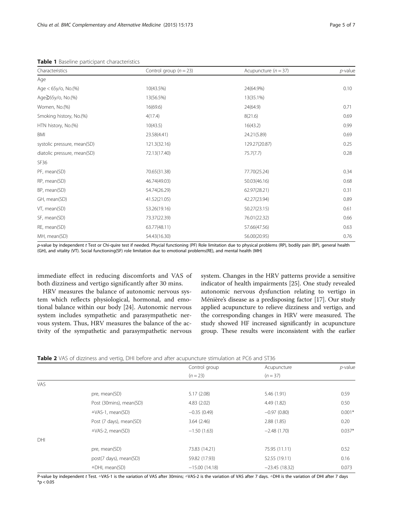| Characteristics             | Control group ( $n = 23$ ) | Acupuncture ( $n = 37$ ) | $p$ -value |
|-----------------------------|----------------------------|--------------------------|------------|
| Age                         |                            |                          |            |
| Age < 65y/o, No.(%)         | 10(43.5%)                  | 24(64.9%)                | 0.10       |
| Age≧65y/o, No.(%)           | 13(56.5%)                  | 13(35.1%)                |            |
| Women, No.(%)               | 16(69.6)                   | 24(64.9)                 | 0.71       |
| Smoking history, No.(%)     | 4(17.4)                    | 8(21.6)                  | 0.69       |
| HTN history, No.(%)         | 10(43.5)                   | 16(43.2)                 | 0.99       |
| BMI                         | 23.58(4.41)                | 24.21(5.89)              | 0.69       |
| systolic pressure, mean(SD) | 121.3(32.16)               | 129.27(20.87)            | 0.25       |
| diatolic pressure, mean(SD) | 72.13(17.40)               | 75.7(7.7)                | 0.28       |
| SF36                        |                            |                          |            |
| PF, mean(SD)                | 70.65(31.38)               | 77.70(25.24)             | 0.34       |
| RP, mean(SD)                | 46.74(49.03)               | 50.03(46.16)             | 0.68       |
| BP, mean(SD)                | 54.74(26.29)               | 62.97(28.21)             | 0.31       |
| GH, mean(SD)                | 41.52(21.05)               | 42.27(23.94)             | 0.89       |
| VT, mean(SD)                | 53.26(19.16)               | 50.27(23.15)             | 0.61       |
| SF, mean(SD)                | 73.37(22.39)               | 76.01(22.32)             | 0.66       |
| RE, mean(SD)                | 63.77(48.11)               | 57.66(47.56)             | 0.63       |
| MH, mean(SD)                | 54.43(16.30)               | 56.00(20.95)             | 0.76       |

<span id="page-4-0"></span>Table 1 Baseline participant characteristics

p-value by independent t Test or Chi-quire test if needed. Phycial functioning (PF) Role limitation due to physical problems (RP), bodily pain (BP), general health (GH), and vitality (VT). Social functioning(SF) role limitation due to emotional problems(RE), and mental health (MH)

immediate effect in reducing discomforts and VAS of both dizziness and vertigo significantly after 30 mins.

HRV measures the balance of autonomic nervous system which reflects physiological, hormonal, and emotional balance within our body [\[24\]](#page-6-0). Autonomic nervous system includes sympathetic and parasympathetic nervous system. Thus, HRV measures the balance of the activity of the sympathetic and parasympathetic nervous

system. Changes in the HRV patterns provide a sensitive indicator of health impairments [\[25](#page-6-0)]. One study revealed autonomic nervous dysfunction relating to vertigo in Ménière's disease as a predisposing factor [\[17](#page-6-0)]. Our study applied acupuncture to relieve dizziness and vertigo, and the corresponding changes in HRV were measured. The study showed HF increased significantly in acupuncture group. These results were inconsistent with the earlier

| Table 2 VAS of dizziness and vertig, DHI before and after acupuncture stimulation at PC6 and ST36 |  |
|---------------------------------------------------------------------------------------------------|--|
|---------------------------------------------------------------------------------------------------|--|

|     |                         | Control group   | Acupuncture     | p-value  |  |
|-----|-------------------------|-----------------|-----------------|----------|--|
|     |                         | $(n = 23)$      | $(n=37)$        |          |  |
| VAS |                         |                 |                 |          |  |
|     | pre, mean(SD)           | 5.17(2.08)      | 5.46 (1.91)     | 0.59     |  |
|     | Post (30mins), mean(SD) | 4.83(2.02)      | 4.49 (1.82)     | 0.50     |  |
|     | △VAS-1, mean(SD)        | $-0.35(0.49)$   | $-0.97(0.80)$   | $0.001*$ |  |
|     | Post (7 days), mean(SD) | 3.64(2.46)      | 2.88(1.85)      | 0.20     |  |
|     | △VAS-2, mean(SD)        | $-1.50(1.63)$   | $-2.48(1.70)$   | $0.037*$ |  |
| DHI |                         |                 |                 |          |  |
|     | pre, mean(SD)           | 73.83 (14.21)   | 75.95 (11.11)   | 0.52     |  |
|     | post(7 days), mean(SD)  | 59.82 (17.93)   | 52.55 (19.11)   | 0.16     |  |
|     | △DHI, mean(SD)          | $-15.00(14.18)$ | $-23.45(18.32)$ | 0.073    |  |

P-value by independent t Test. <sup>A</sup>VAS-1 is the variation of VAS after 30mins; <sup>A</sup>VAS-2 is the variation of VAS after 7 days. ADHI is the variation of DHI after 7 days  $*$ p < 0.05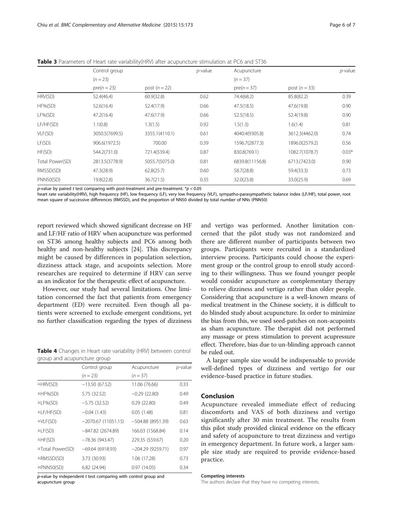|                 | Control group  |                | <i>p</i> -value | Acupuncture     |                | <i>p</i> -value |
|-----------------|----------------|----------------|-----------------|-----------------|----------------|-----------------|
|                 | $(n = 23)$     |                |                 | $(n = 37)$      |                |                 |
|                 | $pre(n = 23)$  | post $(n=22)$  |                 | $pre(n=37)$     | post $(n=33)$  |                 |
| HRV(SD)         | 52.4(46.4)     | 60.9(32.8)     | 0.62            | 74.4(68.2)      | 85.8(82.2)     | 0.39            |
| $HF\%(SD)$      | 52.6(16.4)     | 52.4(17.9)     | 0.66            | 47.5(18.5)      | 47.6(19.8)     | 0.90            |
| LF%(SD)         | 47.2(16.4)     | 47.6(17.9)     | 0.66            | 52.5(18.5)      | 52.4(19.8)     | 0.90            |
| LF/HF(SD)       | 1.1(0.8)       | 1.3(1.5)       | 0.92            | 1.5(1.3)        | 1.6(1.4)       | 0.81            |
| VLF(SD)         | 3050.5(7699.5) | 3355.1(4110.1) | 0.61            | 4040.4(9305.8)  | 3612.3(4462.0) | 0.74            |
| LF(SD)          | 906.6(1972.5)  | 700.00         | 0.39            | 1596.7(2877.3)  | 1896.0(2579.2) | 0.56            |
| HF(SD)          | 544.2(731.0)   | 721.4(539.4)   | 0.87            | 830.8(769.1)    | 1082.7(1078.7) | $0.03*$         |
| Total Power(SD) | 2813.5(3778.9) | 5055.7(5075.0) | 0.81            | 6839.8(11156.8) | 6713.(7423.0)  | 0.90            |
| RMSSD(SD)       | 47.3(28.9)     | 62.8(25.7)     | 0.60            | 58.7(28.8)      | 59.4(33.3)     | 0.73            |
| PNN50(SD)       | 19.8(22.8)     | 36.7(21.5)     | 0.35            | 32.0(23.8)      | 33.0(25.9)     | 0.69            |

<span id="page-5-0"></span>Table 3 Parameters of Heart rate variability(HRV) after acupuncture stimulation at PC6 and ST36

p-value by paired t test comparing with post-treatment and pre-treatment.  $p < 0.05$ 

heart rate variability(HRV), high frequency (HF), low frequency (LF), very low frequency (VLF), sympatho-parasympathetic balance index (LF/HF), total power, root mean square of successive differences (RMSSD), and the proportion of NN50 divided by total number of NNs (PNN50)

report reviewed which showed significant decrease on HF and LF/HF ratio of HRV when acupuncture was performed on ST36 among healthy subjects and PC6 among both healthy and non-healthy subjects [\[24\]](#page-6-0). This discrepancy might be caused by differences in population selection, dizziness attack stage, and acupoints selection. More researches are required to determine if HRV can serve as an indicator for the therapeutic effect of acupuncture.

However, our study had several limitations. One limitation concerned the fact that patients from emergency department (ED) were recruited. Even though all patients were screened to exclude emergent conditions, yet no further classification regarding the types of dizziness

Table 4 Changes in Heart rate variability (HRV) between control group and acupuncture group

|                       | Control group        | Acupuncture        | p-value |
|-----------------------|----------------------|--------------------|---------|
|                       | $(n = 23)$           | $(n = 37)$         |         |
| △HRV(SD)              | $-13.50(67.52)$      | 11.06 (76.66)      | 0.33    |
| △HF%(SD)              | 5.75 (32.52)         | $-0.29(22.80)$     | 0.49    |
| $\triangle$ LF%(SD)   | $-5.75(32.52)$       | 0.29(22.80)        | 0.49    |
| △LF/HF(SD)            | $-0.04(1.43)$        | 0.05(1.48)         | 0.81    |
| $\triangle$ VLF(SD)   | $-2070.67(11051.15)$ | $-504.88(8951.39)$ | 0.63    |
| $\triangle LF(SD)$    | $-847.82$ (2674.89)  | 166.03 (1568.84)   | 0.14    |
| $\triangle HF(SD)$    | $-78.36(943.47)$     | 229.35 (559.67)    | 0.20    |
| △Total Power(SD)      | $-69.64(6918.93)$    | $-204.29(9259.71)$ | 0.97    |
| △RMSSD(SD)            | 3.73 (30.93)         | 1.06 (17.28)       | 0.73    |
| $\triangle$ PNN50(SD) | 6.82(24.94)          | 0.97(14.05)        | 0.34    |

 $p$ -value by independent  $t$  test comparing with control group and acupuncture group

and vertigo was performed. Another limitation concerned that the pilot study was not randomized and there are different number of participants between two groups. Participants were recruited in a standardized interview process. Participants could choose the experiment group or the control group to enroll study according to their willingness. Thus we found younger people would consider acupuncture as complementary therapy to relieve dizziness and vertigo rather than older people. Considering that acupuncture is a well-known means of medical treatment in the Chinese society, it is difficult to do blinded study about acupuncture. In order to minimize the bias from this, we used seed-patches on non-acupoints as sham acupuncture. The therapist did not performed any massage or press stimulation to prevent acupressure effect. Therefore, bias due to un-blinding approach cannot be ruled out.

A larger sample size would be indispensable to provide well-defined types of dizziness and vertigo for our evidence-based practice in future studies.

#### Conclusion

Acupuncture revealed immediate effect of reducing discomforts and VAS of both dizziness and vertigo significantly after 30 min treatment. The results from this pilot study provided clinical evidence on the efficacy and safety of acupuncture to treat dizziness and vertigo in emergency department. In future work, a larger sample size study are required to provide evidence-based practice.

#### Competing interests

The authors declare that they have no competing interests.